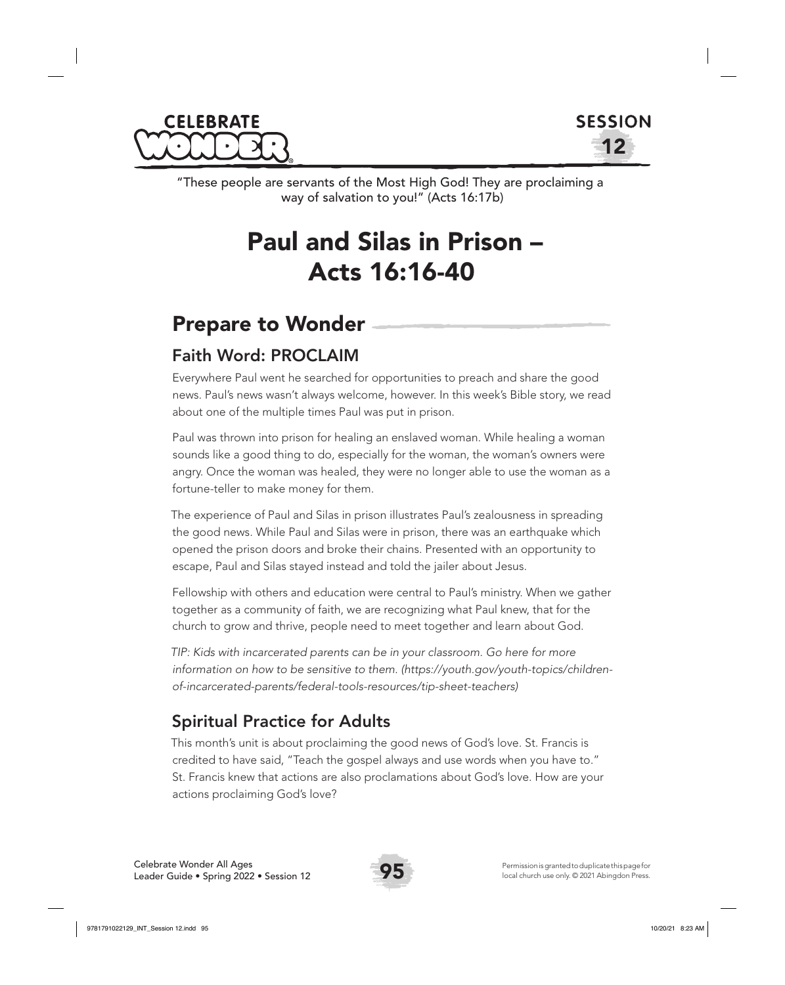



"These people are servants of the Most High God! They are proclaiming a way of salvation to you!" (Acts 16:17b)

# Paul and Silas in Prison – Acts 16:16-40

## Prepare to Wonder

#### Faith Word: PROCLAIM

Everywhere Paul went he searched for opportunities to preach and share the good news. Paul's news wasn't always welcome, however. In this week's Bible story, we read about one of the multiple times Paul was put in prison.

Paul was thrown into prison for healing an enslaved woman. While healing a woman sounds like a good thing to do, especially for the woman, the woman's owners were angry. Once the woman was healed, they were no longer able to use the woman as a fortune-teller to make money for them.

The experience of Paul and Silas in prison illustrates Paul's zealousness in spreading the good news. While Paul and Silas were in prison, there was an earthquake which opened the prison doors and broke their chains. Presented with an opportunity to escape, Paul and Silas stayed instead and told the jailer about Jesus.

Fellowship with others and education were central to Paul's ministry. When we gather together as a community of faith, we are recognizing what Paul knew, that for the church to grow and thrive, people need to meet together and learn about God.

*TIP: Kids with incarcerated parents can be in your classroom. Go here for more information on how to be sensitive to them. (https://youth.gov/youth-topics/childrenof-incarcerated-parents/federal-tools-resources/tip-sheet-teachers)*

## Spiritual Practice for Adults

This month's unit is about proclaiming the good news of God's love. St. Francis is credited to have said, "Teach the gospel always and use words when you have to." St. Francis knew that actions are also proclamations about God's love. How are your actions proclaiming God's love?

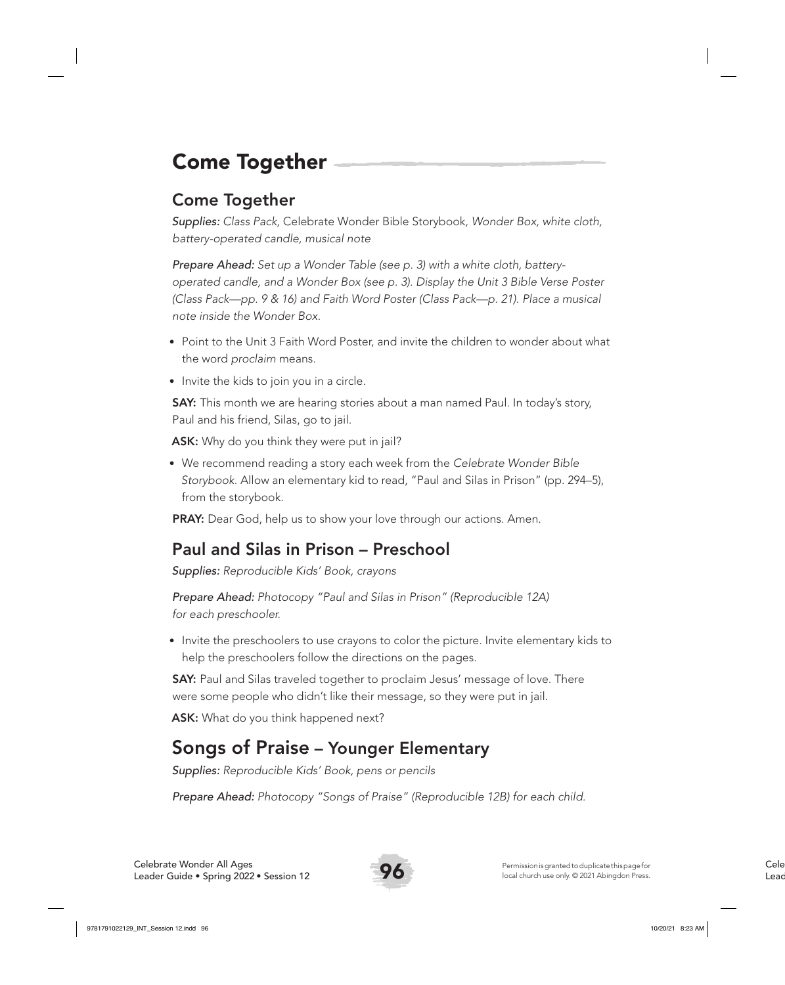# Come Together

#### Come Together

*Supplies: Class Pack,* Celebrate Wonder Bible Storybook*, Wonder Box, white cloth, battery-operated candle, musical note*

*Prepare Ahead: Set up a Wonder Table (see p. 3) with a white cloth, batteryoperated candle, and a Wonder Box (see p. 3). Display the Unit 3 Bible Verse Poster (Class Pack—pp. 9 & 16) and Faith Word Poster (Class Pack—p. 21). Place a musical note inside the Wonder Box.* 

- Point to the Unit 3 Faith Word Poster, and invite the children to wonder about what the word *proclaim* means.
- Invite the kids to join you in a circle.

**SAY:** This month we are hearing stories about a man named Paul. In today's story, Paul and his friend, Silas, go to jail.

ASK: Why do you think they were put in jail?

• We recommend reading a story each week from the *Celebrate Wonder Bible Storybook*. Allow an elementary kid to read, "Paul and Silas in Prison" (pp. 294–5), from the storybook.

PRAY: Dear God, help us to show your love through our actions. Amen.

## Paul and Silas in Prison – Preschool

*Supplies: Reproducible Kids' Book, crayons*

*Prepare Ahead: Photocopy "Paul and Silas in Prison" (Reproducible 12A) for each preschooler.*

• Invite the preschoolers to use crayons to color the picture. Invite elementary kids to help the preschoolers follow the directions on the pages.

SAY: Paul and Silas traveled together to proclaim Jesus' message of love. There were some people who didn't like their message, so they were put in jail.

ASK: What do you think happened next?

## Songs of Praise – Younger Elementary

*Supplies: Reproducible Kids' Book, pens or pencils*

*Prepare Ahead: Photocopy "Songs of Praise" (Reproducible 12B) for each child.*

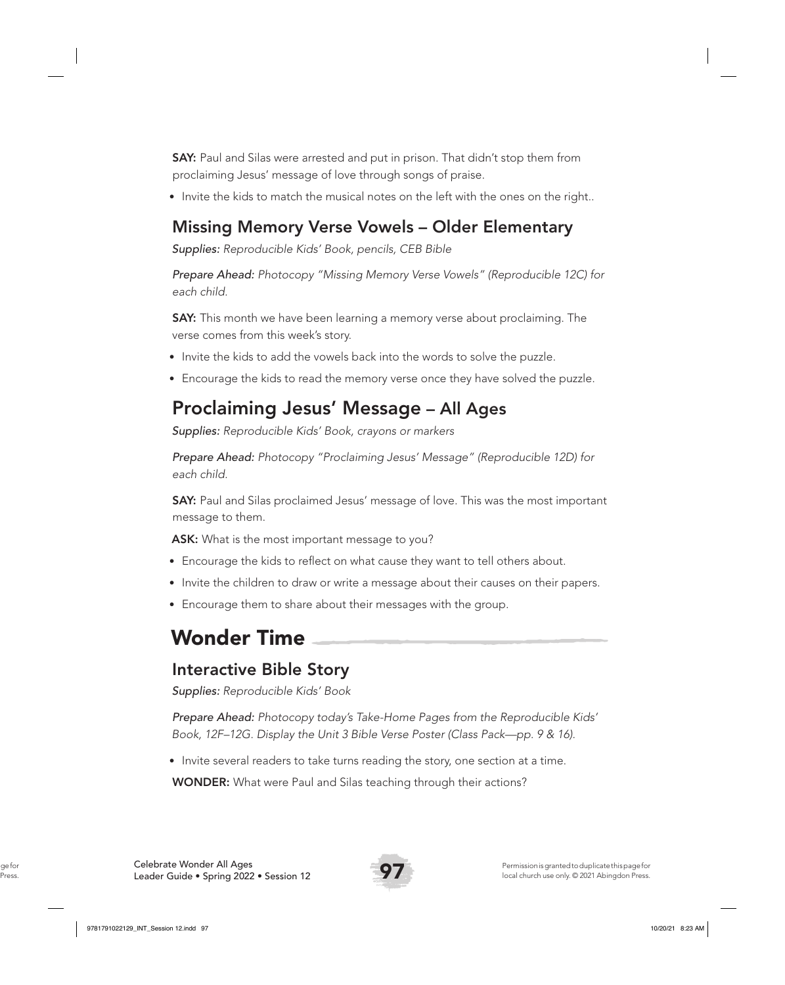SAY: Paul and Silas were arrested and put in prison. That didn't stop them from proclaiming Jesus' message of love through songs of praise.

• Invite the kids to match the musical notes on the left with the ones on the right..

#### Missing Memory Verse Vowels – Older Elementary

*Supplies: Reproducible Kids' Book, pencils, CEB Bible*

*Prepare Ahead: Photocopy "Missing Memory Verse Vowels" (Reproducible 12C) for each child.* 

SAY: This month we have been learning a memory verse about proclaiming. The verse comes from this week's story.

- Invite the kids to add the vowels back into the words to solve the puzzle.
- Encourage the kids to read the memory verse once they have solved the puzzle.

## Proclaiming Jesus' Message – All Ages

*Supplies: Reproducible Kids' Book, crayons or markers*

*Prepare Ahead: Photocopy "Proclaiming Jesus' Message" (Reproducible 12D) for each child.* 

**SAY:** Paul and Silas proclaimed Jesus' message of love. This was the most important message to them.

ASK: What is the most important message to you?

- Encourage the kids to reflect on what cause they want to tell others about.
- Invite the children to draw or write a message about their causes on their papers.
- Encourage them to share about their messages with the group.

## Wonder Time

#### Interactive Bible Story

*Supplies: Reproducible Kids' Book* 

*Prepare Ahead: Photocopy today's Take-Home Pages from the Reproducible Kids' Book, 12F–12G. Display the Unit 3 Bible Verse Poster (Class Pack—pp. 9 & 16).*

• Invite several readers to take turns reading the story, one section at a time.

WONDER: What were Paul and Silas teaching through their actions?

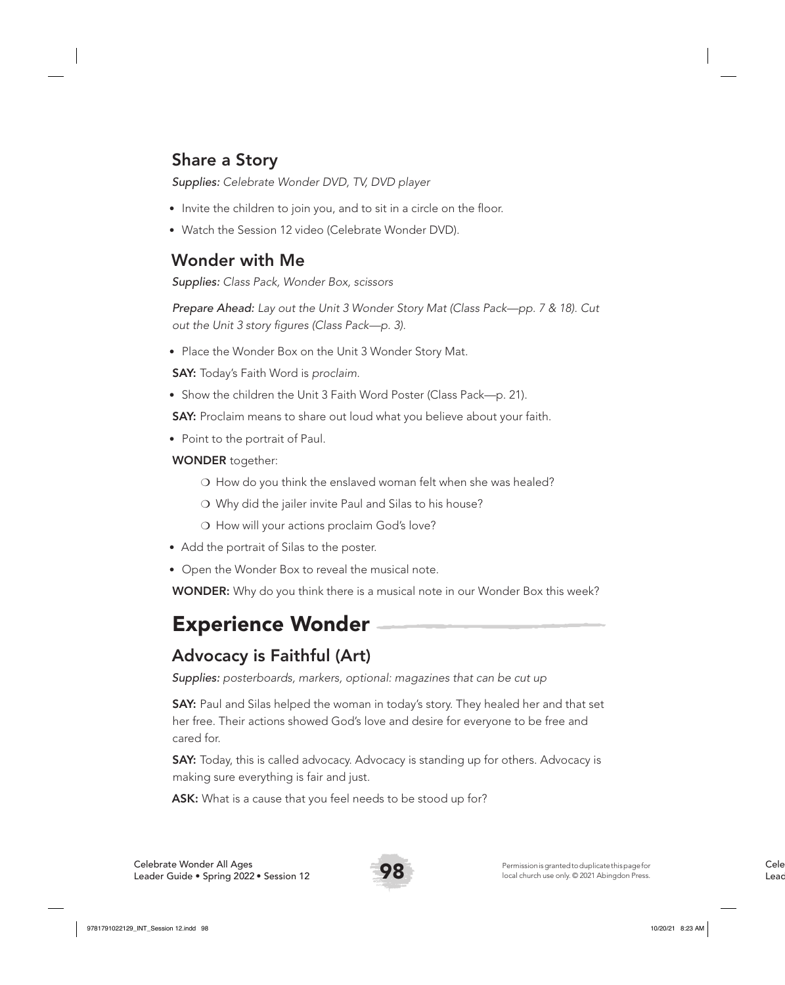## Share a Story

*Supplies: Celebrate Wonder DVD, TV, DVD player*

- Invite the children to join you, and to sit in a circle on the floor.
- Watch the Session 12 video (Celebrate Wonder DVD).

#### Wonder with Me

*Supplies: Class Pack, Wonder Box, scissors*

*Prepare Ahead: Lay out the Unit 3 Wonder Story Mat (Class Pack—pp. 7 & 18). Cut out the Unit 3 story figures (Class Pack—p. 3).* 

• Place the Wonder Box on the Unit 3 Wonder Story Mat.

SAY: Today's Faith Word is *proclaim*.

• Show the children the Unit 3 Faith Word Poster (Class Pack—p. 21).

SAY: Proclaim means to share out loud what you believe about your faith.

• Point to the portrait of Paul.

WONDER together:

- ❍ How do you think the enslaved woman felt when she was healed?
- ❍ Why did the jailer invite Paul and Silas to his house?
- ❍ How will your actions proclaim God's love?
- Add the portrait of Silas to the poster.
- Open the Wonder Box to reveal the musical note.

WONDER: Why do you think there is a musical note in our Wonder Box this week?

## Experience Wonder

## Advocacy is Faithful (Art)

*Supplies: posterboards, markers, optional: magazines that can be cut up* 

**SAY:** Paul and Silas helped the woman in today's story. They healed her and that set her free. Their actions showed God's love and desire for everyone to be free and cared for.

**SAY:** Today, this is called advocacy. Advocacy is standing up for others. Advocacy is making sure everything is fair and just.

ASK: What is a cause that you feel needs to be stood up for?

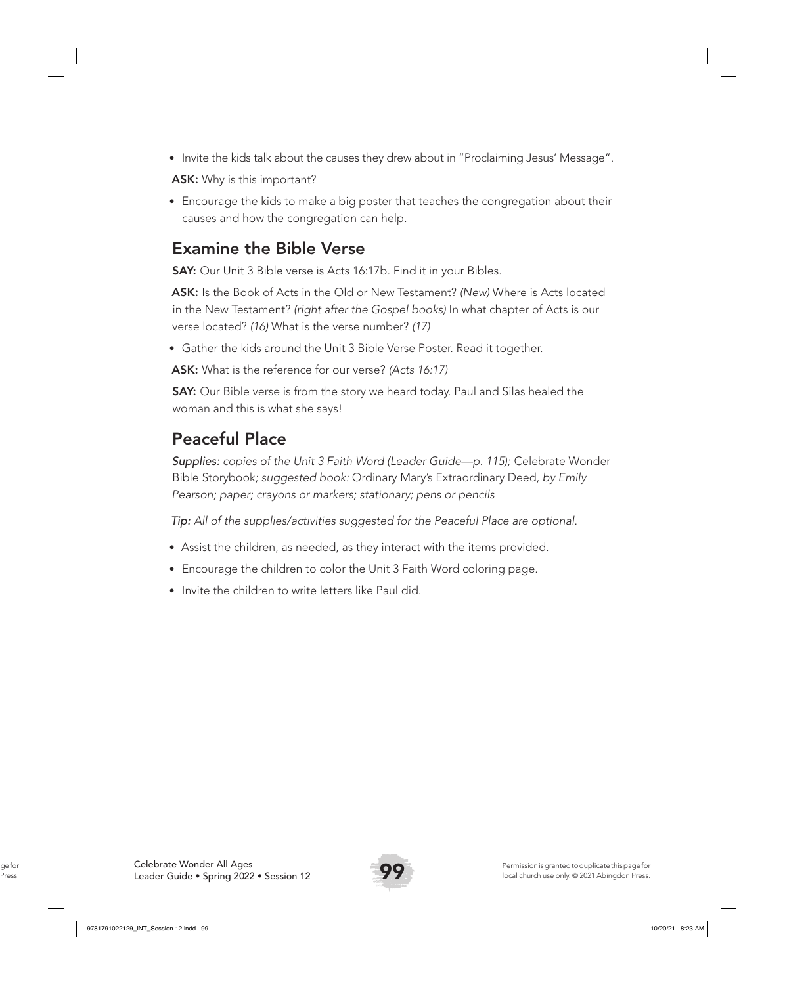• Invite the kids talk about the causes they drew about in "Proclaiming Jesus' Message".

ASK: Why is this important?

• Encourage the kids to make a big poster that teaches the congregation about their causes and how the congregation can help.

#### Examine the Bible Verse

**SAY:** Our Unit 3 Bible verse is Acts 16:17b. Find it in your Bibles.

ASK: Is the Book of Acts in the Old or New Testament? *(New)* Where is Acts located in the New Testament? *(right after the Gospel books)* In what chapter of Acts is our verse located? *(16)* What is the verse number? *(17)*

• Gather the kids around the Unit 3 Bible Verse Poster. Read it together.

ASK: What is the reference for our verse? *(Acts 16:17)*

**SAY:** Our Bible verse is from the story we heard today. Paul and Silas healed the woman and this is what she says!

## Peaceful Place

*Supplies: copies of the Unit 3 Faith Word (Leader Guide—p. 115);* Celebrate Wonder Bible Storybook*; suggested book:* Ordinary Mary's Extraordinary Deed*, by Emily Pearson; paper; crayons or markers; stationary; pens or pencils*

*Tip: All of the supplies/activities suggested for the Peaceful Place are optional.*

- Assist the children, as needed, as they interact with the items provided.
- Encourage the children to color the Unit 3 Faith Word coloring page.
- Invite the children to write letters like Paul did.

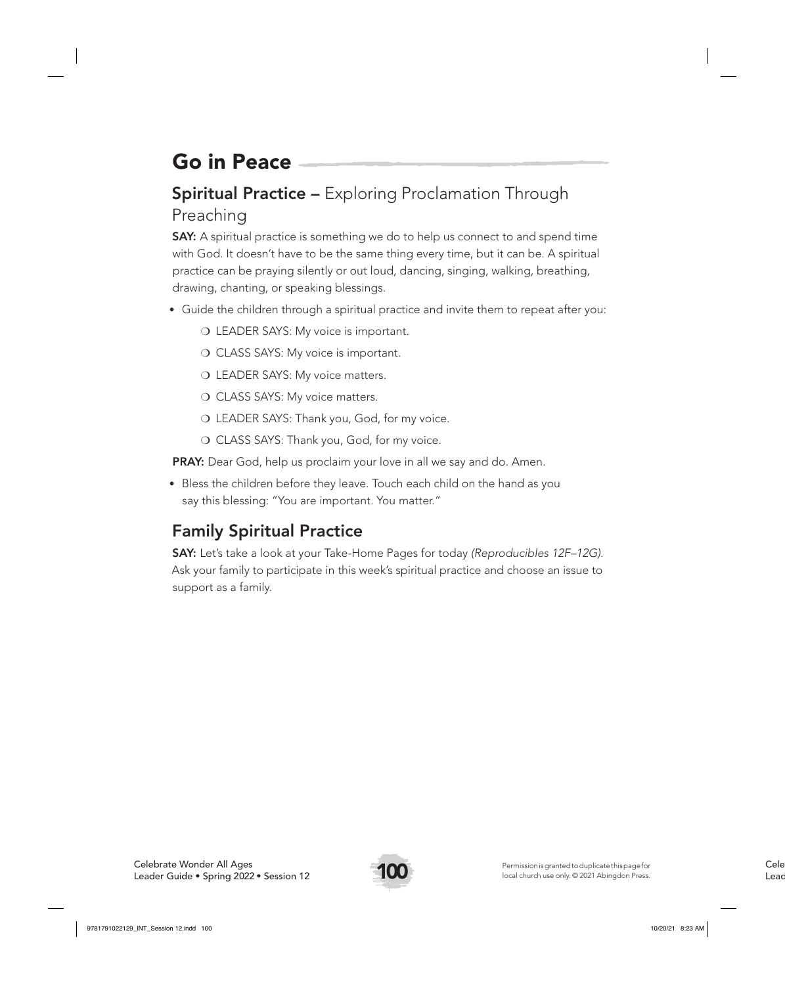# Go in Peace

#### **Spiritual Practice –** Exploring Proclamation Through Preaching

**SAY:** A spiritual practice is something we do to help us connect to and spend time with God. It doesn't have to be the same thing every time, but it can be. A spiritual practice can be praying silently or out loud, dancing, singing, walking, breathing, drawing, chanting, or speaking blessings.

- Guide the children through a spiritual practice and invite them to repeat after you:
	- O LEADER SAYS: My voice is important.
	- O CLASS SAYS: My voice is important.
	- O LEADER SAYS: My voice matters.
	- O CLASS SAYS: My voice matters.
	- ❍ LEADER SAYS: Thank you, God, for my voice.
	- O CLASS SAYS: Thank you, God, for my voice.

**PRAY:** Dear God, help us proclaim your love in all we say and do. Amen.

• Bless the children before they leave. Touch each child on the hand as you say this blessing: "You are important. You matter."

## Family Spiritual Practice

SAY: Let's take a look at your Take-Home Pages for today *(Reproducibles 12F–12G)*. Ask your family to participate in this week's spiritual practice and choose an issue to support as a family.

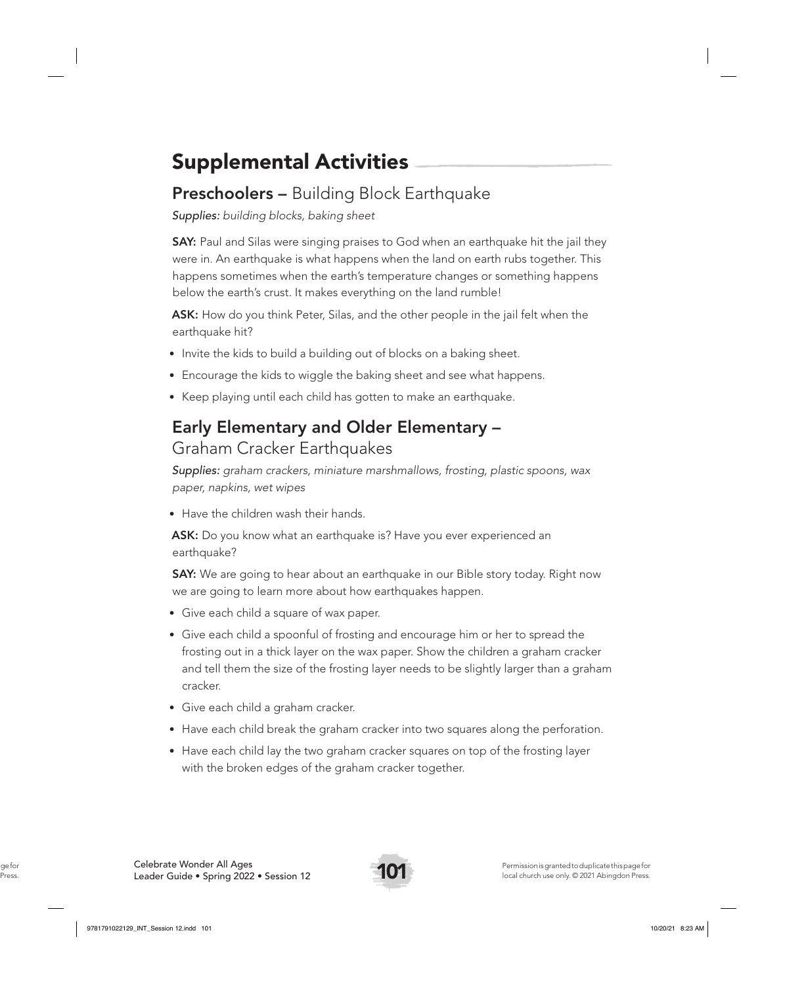# Supplemental Activities

## **Preschoolers –** Building Block Earthquake

*Supplies: building blocks, baking sheet*

SAY: Paul and Silas were singing praises to God when an earthquake hit the jail they were in. An earthquake is what happens when the land on earth rubs together. This happens sometimes when the earth's temperature changes or something happens below the earth's crust. It makes everything on the land rumble!

ASK: How do you think Peter, Silas, and the other people in the jail felt when the earthquake hit?

- Invite the kids to build a building out of blocks on a baking sheet.
- Encourage the kids to wiggle the baking sheet and see what happens.
- Keep playing until each child has gotten to make an earthquake.

#### Early Elementary and Older Elementary – Graham Cracker Earthquakes

*Supplies: graham crackers, miniature marshmallows, frosting, plastic spoons, wax paper, napkins, wet wipes*

• Have the children wash their hands.

ASK: Do you know what an earthquake is? Have you ever experienced an earthquake?

**SAY:** We are going to hear about an earthquake in our Bible story today. Right now we are going to learn more about how earthquakes happen.

- Give each child a square of wax paper.
- Give each child a spoonful of frosting and encourage him or her to spread the frosting out in a thick layer on the wax paper. Show the children a graham cracker and tell them the size of the frosting layer needs to be slightly larger than a graham cracker.
- Give each child a graham cracker.
- Have each child break the graham cracker into two squares along the perforation.
- Have each child lay the two graham cracker squares on top of the frosting layer with the broken edges of the graham cracker together.